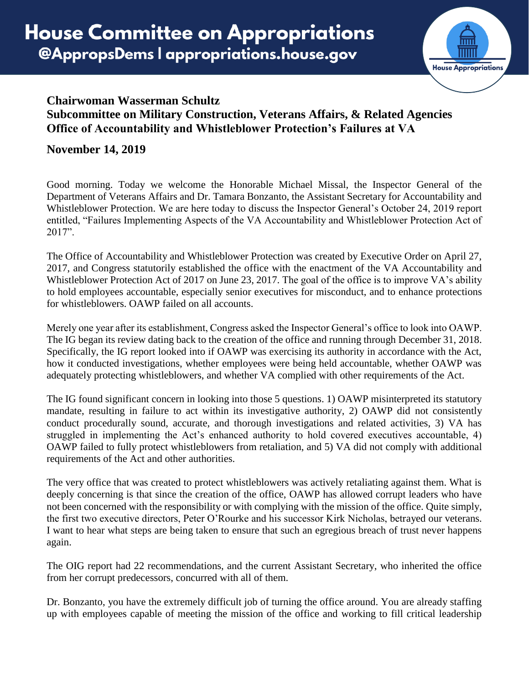

## **Chairwoman Wasserman Schultz Subcommittee on Military Construction, Veterans Affairs, & Related Agencies Office of Accountability and Whistleblower Protection's Failures at VA**

## **November 14, 2019**

Good morning. Today we welcome the Honorable Michael Missal, the Inspector General of the Department of Veterans Affairs and Dr. Tamara Bonzanto, the Assistant Secretary for Accountability and Whistleblower Protection. We are here today to discuss the Inspector General's October 24, 2019 report entitled, "Failures Implementing Aspects of the VA Accountability and Whistleblower Protection Act of 2017".

The Office of Accountability and Whistleblower Protection was created by Executive Order on April 27, 2017, and Congress statutorily established the office with the enactment of the VA Accountability and Whistleblower Protection Act of 2017 on June 23, 2017. The goal of the office is to improve VA's ability to hold employees accountable, especially senior executives for misconduct, and to enhance protections for whistleblowers. OAWP failed on all accounts.

Merely one year after its establishment, Congress asked the Inspector General's office to look into OAWP. The IG began its review dating back to the creation of the office and running through December 31, 2018. Specifically, the IG report looked into if OAWP was exercising its authority in accordance with the Act, how it conducted investigations, whether employees were being held accountable, whether OAWP was adequately protecting whistleblowers, and whether VA complied with other requirements of the Act.

The IG found significant concern in looking into those 5 questions. 1) OAWP misinterpreted its statutory mandate, resulting in failure to act within its investigative authority, 2) OAWP did not consistently conduct procedurally sound, accurate, and thorough investigations and related activities, 3) VA has struggled in implementing the Act's enhanced authority to hold covered executives accountable, 4) OAWP failed to fully protect whistleblowers from retaliation, and 5) VA did not comply with additional requirements of the Act and other authorities.

The very office that was created to protect whistleblowers was actively retaliating against them. What is deeply concerning is that since the creation of the office, OAWP has allowed corrupt leaders who have not been concerned with the responsibility or with complying with the mission of the office. Quite simply, the first two executive directors, Peter O'Rourke and his successor Kirk Nicholas, betrayed our veterans. I want to hear what steps are being taken to ensure that such an egregious breach of trust never happens again.

The OIG report had 22 recommendations, and the current Assistant Secretary, who inherited the office from her corrupt predecessors, concurred with all of them.

Dr. Bonzanto, you have the extremely difficult job of turning the office around. You are already staffing up with employees capable of meeting the mission of the office and working to fill critical leadership